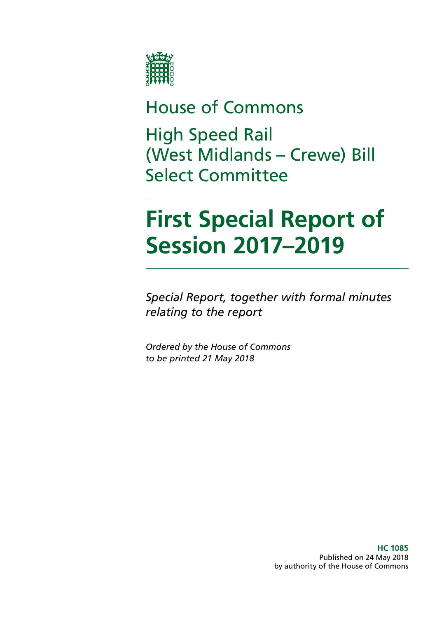

# House of Commons

High Speed Rail (West Midlands – Crewe) Bill Select Committee

# **First Special Report of Session 2017–2019**

*Special Report, together with formal minutes relating to the report*

*Ordered by the House of Commons to be printed 21 May 2018*

> **HC 1085** Published on 24 May 2018 by authority of the House of Commons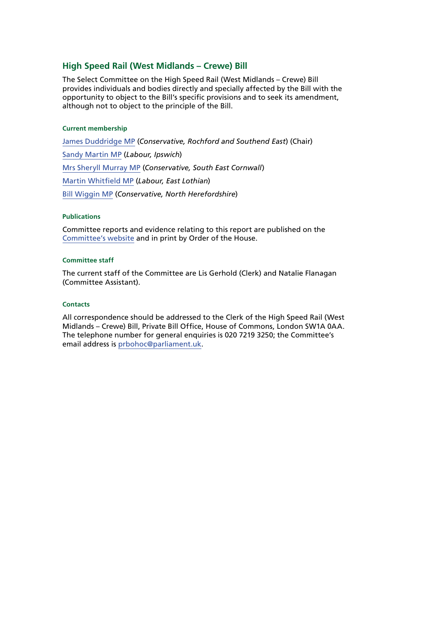#### **High Speed Rail (West Midlands – Crewe) Bill**

The Select Committee on the High Speed Rail (West Midlands – Crewe) Bill provides individuals and bodies directly and specially affected by the Bill with the opportunity to object to the Bill's specific provisions and to seek its amendment, although not to object to the principle of the Bill.

#### **Current membership**

[James Duddridge MP](https://www.parliament.uk/biographies/commons/james-duddridge/1559) (*Conservative, Rochford and Southend East*) (Chair) [Sandy Martin MP](https://www.parliament.uk/biographies/commons/sandy-martin/4678) (*Labour, Ipswich*) [Mrs Sheryll Murray MP](https://www.parliament.uk/biographies/commons/mrs-sheryll-murray/4100) (*Conservative, South East Cornwall*) [Martin Whitfield MP](https://www.parliament.uk/biographies/commons/martin-whitfield/4626) (*Labour, East Lothian*) [Bill Wiggin MP](https://www.parliament.uk/biographies/commons/bill-wiggin/1428) (*Conservative, North Herefordshire*)

#### **Publications**

Committee reports and evidence relating to this report are published on the [Committee's website](https://www.parliament.uk/business/committees/committees-a-z/commons-select/high-speed-rail-west-midlands-crewe-bill-select-committee-commons/publications-17-19/) and in print by Order of the House.

#### **Committee staff**

The current staff of the Committee are Lis Gerhold (Clerk) and Natalie Flanagan (Committee Assistant).

#### **Contacts**

All correspondence should be addressed to the Clerk of the High Speed Rail (West Midlands – Crewe) Bill, Private Bill Office, House of Commons, London SW1A 0AA. The telephone number for general enquiries is 020 7219 3250; the Committee's email address is [prbohoc@parliament.uk](mailto:prbohoc%40parliament.uk?subject=).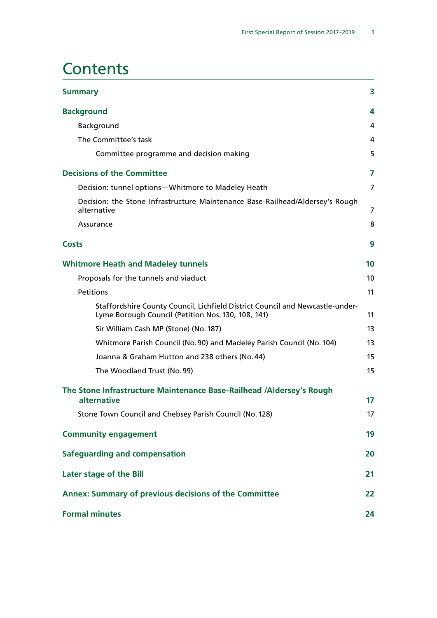### **Contents**

| <b>Summary</b>                                                                                                                      | 3               |
|-------------------------------------------------------------------------------------------------------------------------------------|-----------------|
| <b>Background</b>                                                                                                                   | 4               |
| Background                                                                                                                          | 4               |
| The Committee's task                                                                                                                | 4               |
| Committee programme and decision making                                                                                             | 5               |
| <b>Decisions of the Committee</b>                                                                                                   | $\overline{7}$  |
| Decision: tunnel options-Whitmore to Madeley Heath                                                                                  | 7               |
| Decision: the Stone Infrastructure Maintenance Base-Railhead/Aldersey's Rough<br>alternative                                        | 7               |
| Assurance                                                                                                                           | 8               |
| <b>Costs</b>                                                                                                                        | 9               |
| <b>Whitmore Heath and Madeley tunnels</b>                                                                                           | 10              |
| Proposals for the tunnels and viaduct                                                                                               | 10 <sup>°</sup> |
| Petitions                                                                                                                           | 11              |
| Staffordshire County Council, Lichfield District Council and Newcastle-under-<br>Lyme Borough Council (Petition Nos. 130, 108, 141) | 11              |
| Sir William Cash MP (Stone) (No. 187)                                                                                               | 13              |
| Whitmore Parish Council (No. 90) and Madeley Parish Council (No. 104)                                                               | 13              |
| Joanna & Graham Hutton and 238 others (No. 44)                                                                                      | 15              |
| The Woodland Trust (No. 99)                                                                                                         | 15              |
| The Stone Infrastructure Maintenance Base-Railhead /Aldersey's Rough<br>alternative                                                 | 17              |
| Stone Town Council and Chebsey Parish Council (No. 128)                                                                             | 17              |
| <b>Community engagement</b>                                                                                                         | 19              |
| Safeguarding and compensation                                                                                                       | 20              |
| Later stage of the Bill                                                                                                             | 21              |
| Annex: Summary of previous decisions of the Committee                                                                               | 22              |
| <b>Formal minutes</b>                                                                                                               | 24              |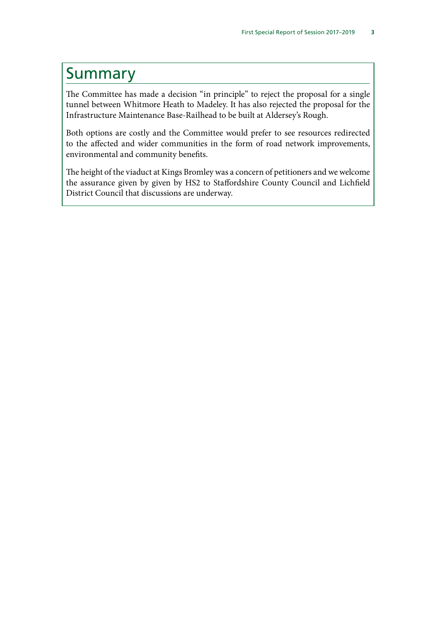### <span id="page-4-0"></span>Summary

The Committee has made a decision "in principle" to reject the proposal for a single tunnel between Whitmore Heath to Madeley. It has also rejected the proposal for the Infrastructure Maintenance Base-Railhead to be built at Aldersey's Rough.

Both options are costly and the Committee would prefer to see resources redirected to the affected and wider communities in the form of road network improvements, environmental and community benefits.

The height of the viaduct at Kings Bromley was a concern of petitioners and we welcome the assurance given by given by HS2 to Staffordshire County Council and Lichfield District Council that discussions are underway.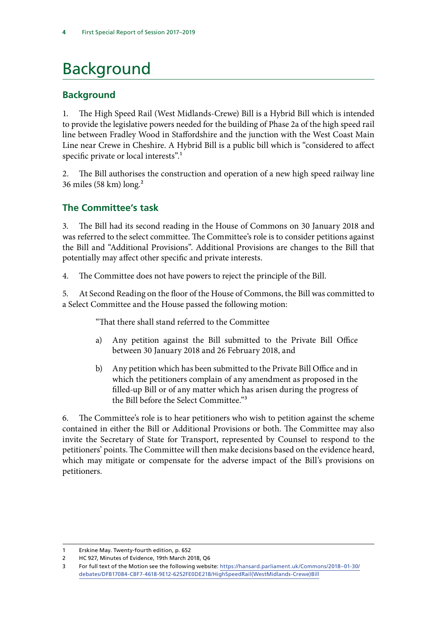# <span id="page-5-0"></span>Background

#### **Background**

1. The High Speed Rail (West Midlands-Crewe) Bill is a Hybrid Bill which is intended to provide the legislative powers needed for the building of Phase 2a of the high speed rail line between Fradley Wood in Staffordshire and the junction with the West Coast Main Line near Crewe in Cheshire. A Hybrid Bill is a public bill which is "considered to affect specific private or local interests".<sup>1</sup>

2. The Bill authorises the construction and operation of a new high speed railway line 36 miles (58 km) long.2

#### **The Committee's task**

3. The Bill had its second reading in the House of Commons on 30 January 2018 and was referred to the select committee. The Committee's role is to consider petitions against the Bill and "Additional Provisions". Additional Provisions are changes to the Bill that potentially may affect other specific and private interests.

4. The Committee does not have powers to reject the principle of the Bill.

5. At Second Reading on the floor of the House of Commons, the Bill was committed to a Select Committee and the House passed the following motion:

"That there shall stand referred to the Committee

- a) Any petition against the Bill submitted to the Private Bill Office between 30 January 2018 and 26 February 2018, and
- b) Any petition which has been submitted to the Private Bill Office and in which the petitioners complain of any amendment as proposed in the filled-up Bill or of any matter which has arisen during the progress of the Bill before the Select Committee."3

6. The Committee's role is to hear petitioners who wish to petition against the scheme contained in either the Bill or Additional Provisions or both. The Committee may also invite the Secretary of State for Transport, represented by Counsel to respond to the petitioners' points. The Committee will then make decisions based on the evidence heard, which may mitigate or compensate for the adverse impact of the Bill's provisions on petitioners.

<sup>1</sup> Erskine May. Twenty-fourth edition, p. 652

<sup>2</sup> HC 927, Minutes of Evidence, 19th March 2018, Q6

<sup>3</sup> For full text of the Motion see the following website: [https://hansard.parliament.uk/Commons/2018–01-30/](https://hansard.parliament.uk/Commons/2018-01-30/debates/DFB17084-CBF7-4618-9E12-6252FE0DE218/HighSpeedRail(WestMidlands-Crewe)Bill) [debates/DFB17084-CBF7-4618-9E12-6252FE0DE218/HighSpeedRail\(WestMidlands-Crewe\)Bill](https://hansard.parliament.uk/Commons/2018-01-30/debates/DFB17084-CBF7-4618-9E12-6252FE0DE218/HighSpeedRail(WestMidlands-Crewe)Bill)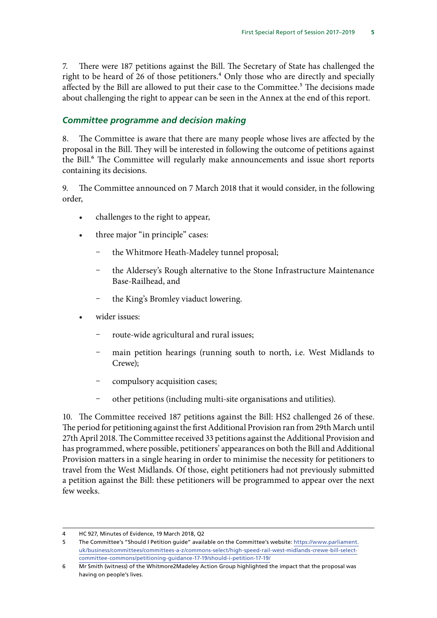<span id="page-6-0"></span>7. There were 187 petitions against the Bill. The Secretary of State has challenged the right to be heard of 26 of those petitioners.<sup>4</sup> Only those who are directly and specially affected by the Bill are allowed to put their case to the Committee.<sup>5</sup> The decisions made about challenging the right to appear can be seen in the Annex at the end of this report.

#### *Committee programme and decision making*

8. The Committee is aware that there are many people whose lives are affected by the proposal in the Bill. They will be interested in following the outcome of petitions against the Bill.<sup>6</sup> The Committee will regularly make announcements and issue short reports containing its decisions.

9. The Committee announced on 7 March 2018 that it would consider, in the following order,

- challenges to the right to appear,
- three major "in principle" cases:
	- the Whitmore Heath-Madeley tunnel proposal;
	- the Aldersey's Rough alternative to the Stone Infrastructure Maintenance Base-Railhead, and
	- the King's Bromley viaduct lowering.
- wider issues:
	- route-wide agricultural and rural issues;
	- main petition hearings (running south to north, i.e. West Midlands to Crewe);
	- compulsory acquisition cases;
	- Ȥ other petitions (including multi-site organisations and utilities).

10. The Committee received 187 petitions against the Bill: HS2 challenged 26 of these. The period for petitioning against the first Additional Provision ran from 29th March until 27th April 2018. The Committee received 33 petitions against the Additional Provision and has programmed, where possible, petitioners' appearances on both the Bill and Additional Provision matters in a single hearing in order to minimise the necessity for petitioners to travel from the West Midlands. Of those, eight petitioners had not previously submitted a petition against the Bill: these petitioners will be programmed to appear over the next few weeks.

<sup>4</sup> HC 927, Minutes of Evidence, 19 March 2018, Q2

<sup>5</sup> The Committee's "Should I Petition guide" available on the Committee's website: [https://www.parliament.](https://www.parliament.uk/business/committees/committees-a-z/commons-select/high-speed-rail-west-midlands-crewe-bill-select-committee-commons/petitioning-guidance-17-19/should-i-petition-17-19/) [uk/business/committees/committees-a-z/commons-select/high-speed-rail-west-midlands-crewe-bill-select](https://www.parliament.uk/business/committees/committees-a-z/commons-select/high-speed-rail-west-midlands-crewe-bill-select-committee-commons/petitioning-guidance-17-19/should-i-petition-17-19/)[committee-commons/petitioning-guidance-17-19/should-i-petition-17-19/](https://www.parliament.uk/business/committees/committees-a-z/commons-select/high-speed-rail-west-midlands-crewe-bill-select-committee-commons/petitioning-guidance-17-19/should-i-petition-17-19/)

<sup>6</sup> Mr Smith (witness) of the Whitmore2Madeley Action Group highlighted the impact that the proposal was having on people's lives.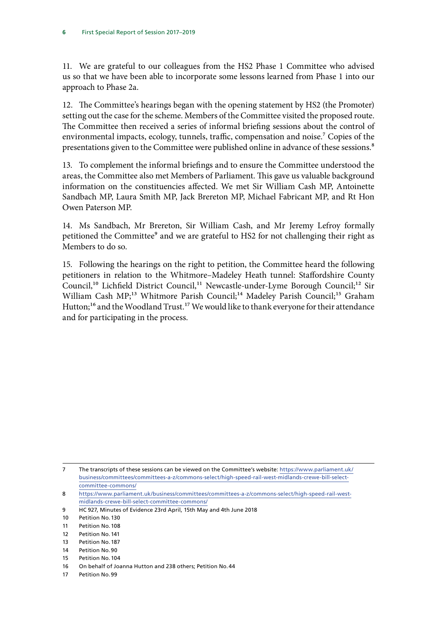11. We are grateful to our colleagues from the HS2 Phase 1 Committee who advised us so that we have been able to incorporate some lessons learned from Phase 1 into our approach to Phase 2a.

12. The Committee's hearings began with the opening statement by HS2 (the Promoter) setting out the case for the scheme. Members of the Committee visited the proposed route. The Committee then received a series of informal briefing sessions about the control of environmental impacts, ecology, tunnels, traffic, compensation and noise.<sup>7</sup> Copies of the presentations given to the Committee were published online in advance of these sessions.<sup>8</sup>

13. To complement the informal briefings and to ensure the Committee understood the areas, the Committee also met Members of Parliament. This gave us valuable background information on the constituencies affected. We met Sir William Cash MP, Antoinette Sandbach MP, Laura Smith MP, Jack Brereton MP, Michael Fabricant MP, and Rt Hon Owen Paterson MP.

14. Ms Sandbach, Mr Brereton, Sir William Cash, and Mr Jeremy Lefroy formally petitioned the Committee<sup>9</sup> and we are grateful to HS2 for not challenging their right as Members to do so.

15. Following the hearings on the right to petition, the Committee heard the following petitioners in relation to the Whitmore–Madeley Heath tunnel: Staffordshire County Council,<sup>10</sup> Lichfield District Council,<sup>11</sup> Newcastle-under-Lyme Borough Council;<sup>12</sup> Sir William Cash MP;<sup>13</sup> Whitmore Parish Council;<sup>14</sup> Madeley Parish Council;<sup>15</sup> Graham Hutton;<sup>16</sup> and the Woodland Trust.<sup>17</sup> We would like to thank everyone for their attendance and for participating in the process.

- 8 [https://www.parliament.uk/business/committees/committees-a-z/commons-select/high-speed-rail-west](https://www.parliament.uk/business/committees/committees-a-z/commons-select/high-speed-rail-west-midlands-crewe-bill-select-committee-commons/)[midlands-crewe-bill-select-committee-commons/](https://www.parliament.uk/business/committees/committees-a-z/commons-select/high-speed-rail-west-midlands-crewe-bill-select-committee-commons/)
- 9 HC 927, Minutes of Evidence 23rd April, 15th May and 4th June 2018

- 11 Petition No.108
- 12 Petition No.141
- 13 Petition No.187
- 14 Petition No.90
- 15 Petition No.104
- 16 On behalf of Joanna Hutton and 238 others; Petition No.44
- 17 Petition No.99

<sup>7</sup> The transcripts of these sessions can be viewed on the Committee's website: [https://www.parliament.uk/](https://www.parliament.uk/business/committees/committees-a-z/commons-select/high-speed-rail-west-midlands-crewe-bill-select-committee-commons/) [business/committees/committees-a-z/commons-select/high-speed-rail-west-midlands-crewe-bill-select](https://www.parliament.uk/business/committees/committees-a-z/commons-select/high-speed-rail-west-midlands-crewe-bill-select-committee-commons/)[committee-commons/](https://www.parliament.uk/business/committees/committees-a-z/commons-select/high-speed-rail-west-midlands-crewe-bill-select-committee-commons/)

<sup>10</sup> Petition No.130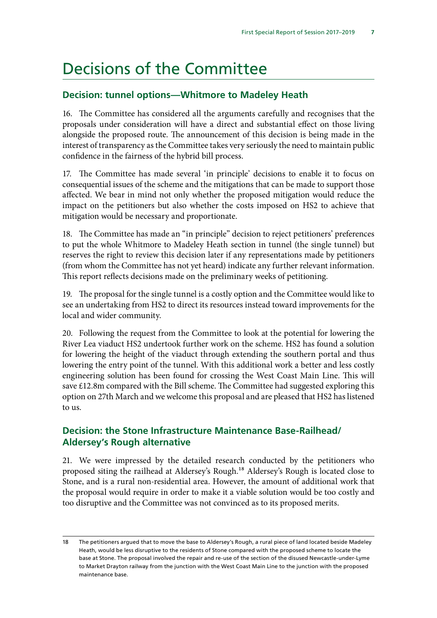### <span id="page-8-0"></span>Decisions of the Committee

#### **Decision: tunnel options—Whitmore to Madeley Heath**

16. The Committee has considered all the arguments carefully and recognises that the proposals under consideration will have a direct and substantial effect on those living alongside the proposed route. The announcement of this decision is being made in the interest of transparency as the Committee takes very seriously the need to maintain public confidence in the fairness of the hybrid bill process.

17. The Committee has made several 'in principle' decisions to enable it to focus on consequential issues of the scheme and the mitigations that can be made to support those affected. We bear in mind not only whether the proposed mitigation would reduce the impact on the petitioners but also whether the costs imposed on HS2 to achieve that mitigation would be necessary and proportionate.

18. The Committee has made an "in principle" decision to reject petitioners' preferences to put the whole Whitmore to Madeley Heath section in tunnel (the single tunnel) but reserves the right to review this decision later if any representations made by petitioners (from whom the Committee has not yet heard) indicate any further relevant information. This report reflects decisions made on the preliminary weeks of petitioning.

19. The proposal for the single tunnel is a costly option and the Committee would like to see an undertaking from HS2 to direct its resources instead toward improvements for the local and wider community.

20. Following the request from the Committee to look at the potential for lowering the River Lea viaduct HS2 undertook further work on the scheme. HS2 has found a solution for lowering the height of the viaduct through extending the southern portal and thus lowering the entry point of the tunnel. With this additional work a better and less costly engineering solution has been found for crossing the West Coast Main Line. This will save £12.8m compared with the Bill scheme. The Committee had suggested exploring this option on 27th March and we welcome this proposal and are pleased that HS2 has listened to us.

#### **Decision: the Stone Infrastructure Maintenance Base-Railhead/ Aldersey's Rough alternative**

21. We were impressed by the detailed research conducted by the petitioners who proposed siting the railhead at Aldersey's Rough.18 Aldersey's Rough is located close to Stone, and is a rural non-residential area. However, the amount of additional work that the proposal would require in order to make it a viable solution would be too costly and too disruptive and the Committee was not convinced as to its proposed merits.

<sup>18</sup> The petitioners argued that to move the base to Aldersey's Rough, a rural piece of land located beside Madeley Heath, would be less disruptive to the residents of Stone compared with the proposed scheme to locate the base at Stone. The proposal involved the repair and re-use of the section of the disused Newcastle-under-Lyme to Market Drayton railway from the junction with the West Coast Main Line to the junction with the proposed maintenance base.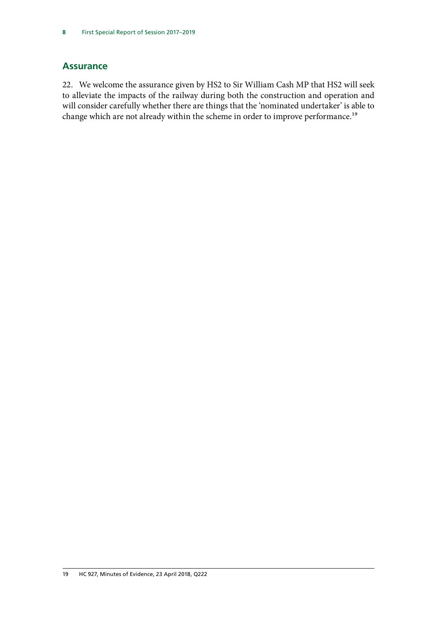#### <span id="page-9-0"></span>**Assurance**

22. We welcome the assurance given by HS2 to Sir William Cash MP that HS2 will seek to alleviate the impacts of the railway during both the construction and operation and will consider carefully whether there are things that the 'nominated undertaker' is able to change which are not already within the scheme in order to improve performance.<sup>19</sup>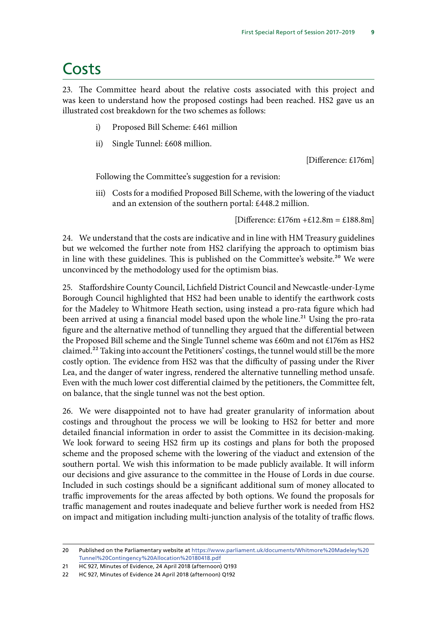### <span id="page-10-0"></span>Costs

23. The Committee heard about the relative costs associated with this project and was keen to understand how the proposed costings had been reached. HS2 gave us an illustrated cost breakdown for the two schemes as follows:

- i) Proposed Bill Scheme: £461 million
- ii) Single Tunnel: £608 million.

[Difference: £176m]

Following the Committee's suggestion for a revision:

iii) Costs for a modified Proposed Bill Scheme, with the lowering of the viaduct and an extension of the southern portal: £448.2 million.

[Difference:  $£176m + £12.8m = £188.8m$ ]

24. We understand that the costs are indicative and in line with HM Treasury guidelines but we welcomed the further note from HS2 clarifying the approach to optimism bias in line with these guidelines. This is published on the Committee's website.<sup>20</sup> We were unconvinced by the methodology used for the optimism bias.

25. Staffordshire County Council, Lichfield District Council and Newcastle-under-Lyme Borough Council highlighted that HS2 had been unable to identify the earthwork costs for the Madeley to Whitmore Heath section, using instead a pro-rata figure which had been arrived at using a financial model based upon the whole line.<sup>21</sup> Using the pro-rata figure and the alternative method of tunnelling they argued that the differential between the Proposed Bill scheme and the Single Tunnel scheme was £60m and not £176m as HS2 claimed.<sup>22</sup> Taking into account the Petitioners' costings, the tunnel would still be the more costly option. The evidence from HS2 was that the difficulty of passing under the River Lea, and the danger of water ingress, rendered the alternative tunnelling method unsafe. Even with the much lower cost differential claimed by the petitioners, the Committee felt, on balance, that the single tunnel was not the best option.

26. We were disappointed not to have had greater granularity of information about costings and throughout the process we will be looking to HS2 for better and more detailed financial information in order to assist the Committee in its decision-making. We look forward to seeing HS2 firm up its costings and plans for both the proposed scheme and the proposed scheme with the lowering of the viaduct and extension of the southern portal. We wish this information to be made publicly available. It will inform our decisions and give assurance to the committee in the House of Lords in due course. Included in such costings should be a significant additional sum of money allocated to traffic improvements for the areas affected by both options. We found the proposals for traffic management and routes inadequate and believe further work is needed from HS2 on impact and mitigation including multi-junction analysis of the totality of traffic flows.

<sup>20</sup> Published on the Parliamentary website at [https://www.parliament.uk/documents/Whitmore%20Madeley%20](https://www.parliament.uk/documents/Whitmore%20Madeley%20Tunnel%20Contingency%20Allocation%20180418.pdf) [Tunnel%20Contingency%20Allocation%20180418.pdf](https://www.parliament.uk/documents/Whitmore%20Madeley%20Tunnel%20Contingency%20Allocation%20180418.pdf)

<sup>21</sup> HC 927, Minutes of Evidence, 24 April 2018 (afternoon) Q193

<sup>22</sup> HC 927, Minutes of Evidence 24 April 2018 (afternoon) Q192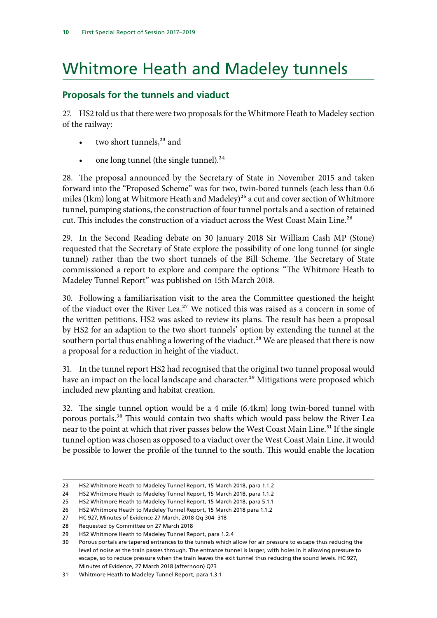# <span id="page-11-0"></span>Whitmore Heath and Madeley tunnels

#### **Proposals for the tunnels and viaduct**

27. HS2 told us that there were two proposals for the Whitmore Heath to Madeley section of the railway:

- two short tunnels,<sup>23</sup> and
- one long tunnel (the single tunnel). $24$

28. The proposal announced by the Secretary of State in November 2015 and taken forward into the "Proposed Scheme" was for two, twin-bored tunnels (each less than 0.6 miles (1km) long at Whitmore Heath and Madeley)<sup>25</sup> a cut and cover section of Whitmore tunnel, pumping stations, the construction of four tunnel portals and a section of retained cut. This includes the construction of a viaduct across the West Coast Main Line.<sup>26</sup>

29. In the Second Reading debate on 30 January 2018 Sir William Cash MP (Stone) requested that the Secretary of State explore the possibility of one long tunnel (or single tunnel) rather than the two short tunnels of the Bill Scheme. The Secretary of State commissioned a report to explore and compare the options: "The Whitmore Heath to Madeley Tunnel Report" was published on 15th March 2018.

30. Following a familiarisation visit to the area the Committee questioned the height of the viaduct over the River Lea.<sup>27</sup> We noticed this was raised as a concern in some of the written petitions. HS2 was asked to review its plans. The result has been a proposal by HS2 for an adaption to the two short tunnels' option by extending the tunnel at the southern portal thus enabling a lowering of the viaduct.<sup>28</sup> We are pleased that there is now a proposal for a reduction in height of the viaduct.

31. In the tunnel report HS2 had recognised that the original two tunnel proposal would have an impact on the local landscape and character.<sup>29</sup> Mitigations were proposed which included new planting and habitat creation.

32. The single tunnel option would be a 4 mile (6.4km) long twin-bored tunnel with porous portals.30 This would contain two shafts which would pass below the River Lea near to the point at which that river passes below the West Coast Main Line.<sup>31</sup> If the single tunnel option was chosen as opposed to a viaduct over the West Coast Main Line, it would be possible to lower the profile of the tunnel to the south. This would enable the location

<sup>23</sup> HS2 Whitmore Heath to Madeley Tunnel Report, 15 March 2018, para 1.1.2

<sup>24</sup> HS2 Whitmore Heath to Madeley Tunnel Report, 15 March 2018, para 1.1.2

<sup>25</sup> HS2 Whitmore Heath to Madeley Tunnel Report, 15 March 2018, para 5.1.1

<sup>26</sup> HS2 Whitmore Heath to Madeley Tunnel Report, 15 March 2018 para 1.1.2

<sup>27</sup> HC 927, Minutes of Evidence 27 March, 2018 Qq 304–318

<sup>28</sup> Requested by Committee on 27 March 2018

<sup>29</sup> HS2 Whitmore Heath to Madeley Tunnel Report, para 1.2.4

<sup>30</sup> Porous portals are tapered entrances to the tunnels which allow for air pressure to escape thus reducing the level of noise as the train passes through. The entrance tunnel is larger, with holes in it allowing pressure to escape, so to reduce pressure when the train leaves the exit tunnel thus reducing the sound levels. HC 927, Minutes of Evidence, 27 March 2018 (afternoon) Q73

<sup>31</sup> Whitmore Heath to Madeley Tunnel Report, para 1.3.1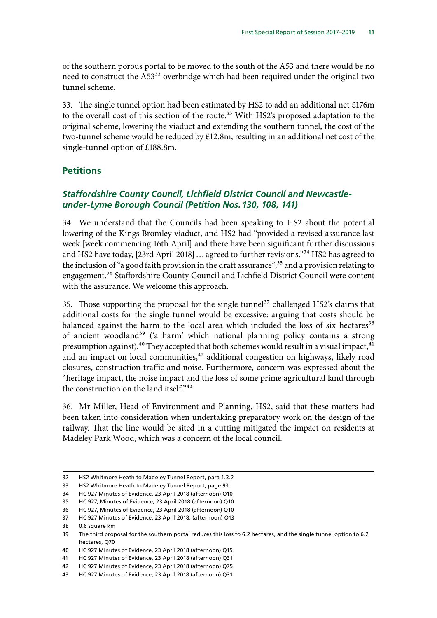<span id="page-12-0"></span>of the southern porous portal to be moved to the south of the A53 and there would be no need to construct the A53<sup>32</sup> overbridge which had been required under the original two tunnel scheme.

33. The single tunnel option had been estimated by HS2 to add an additional net £176m to the overall cost of this section of the route.<sup>33</sup> With HS2's proposed adaptation to the original scheme, lowering the viaduct and extending the southern tunnel, the cost of the two-tunnel scheme would be reduced by £12.8m, resulting in an additional net cost of the single-tunnel option of £188.8m.

#### **Petitions**

#### *Staffordshire County Council, Lichfield District Council and Newcastleunder-Lyme Borough Council (Petition Nos.130, 108, 141)*

34. We understand that the Councils had been speaking to HS2 about the potential lowering of the Kings Bromley viaduct, and HS2 had "provided a revised assurance last week [week commencing 16th April] and there have been significant further discussions and HS2 have today, [23rd April 2018] ... agreed to further revisions."<sup>34</sup> HS2 has agreed to the inclusion of "a good faith provision in the draft assurance",<sup>35</sup> and a provision relating to engagement.36 Staffordshire County Council and Lichfield District Council were content with the assurance. We welcome this approach.

35. Those supporting the proposal for the single tunnel<sup>37</sup> challenged HS2's claims that additional costs for the single tunnel would be excessive: arguing that costs should be balanced against the harm to the local area which included the loss of six hectares<sup>38</sup> of ancient woodland<sup>39</sup> ('a harm' which national planning policy contains a strong presumption against).<sup>40</sup> They accepted that both schemes would result in a visual impact,<sup>41</sup> and an impact on local communities,<sup>42</sup> additional congestion on highways, likely road closures, construction traffic and noise. Furthermore, concern was expressed about the "heritage impact, the noise impact and the loss of some prime agricultural land through the construction on the land itself."<sup>43</sup>

36. Mr Miller, Head of Environment and Planning, HS2, said that these matters had been taken into consideration when undertaking preparatory work on the design of the railway. That the line would be sited in a cutting mitigated the impact on residents at Madeley Park Wood, which was a concern of the local council.

<sup>32</sup> HS2 Whitmore Heath to Madeley Tunnel Report, para 1.3.2

<sup>33</sup> HS2 Whitmore Heath to Madeley Tunnel Report, page 93

<sup>34</sup> HC 927 Minutes of Evidence, 23 April 2018 (afternoon) Q10

<sup>35</sup> HC 927, Minutes of Evidence, 23 April 2018 (afternoon) Q10

<sup>36</sup> HC 927, Minutes of Evidence, 23 April 2018 (afternoon) Q10

<sup>37</sup> HC 927 Minutes of Evidence, 23 April 2018, (afternoon) Q13

<sup>38</sup> 0.6 square km

<sup>39</sup> The third proposal for the southern portal reduces this loss to 6.2 hectares, and the single tunnel option to 6.2 hectares, Q70

<sup>40</sup> HC 927 Minutes of Evidence, 23 April 2018 (afternoon) Q15

<sup>41</sup> HC 927 Minutes of Evidence, 23 April 2018 (afternoon) Q31

<sup>42</sup> HC 927 Minutes of Evidence, 23 April 2018 (afternoon) Q75

<sup>43</sup> HC 927 Minutes of Evidence, 23 April 2018 (afternoon) Q31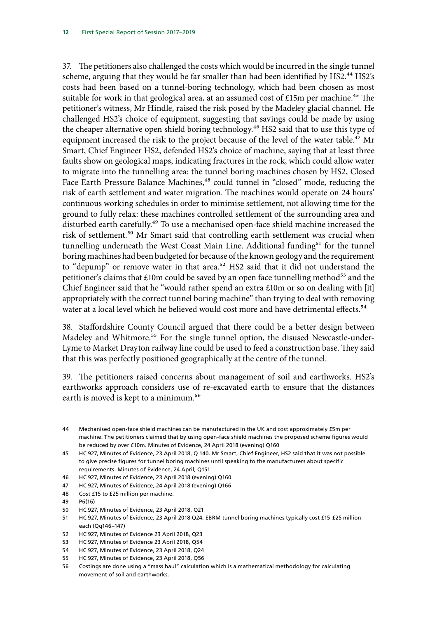37. The petitioners also challenged the costs which would be incurred in the single tunnel scheme, arguing that they would be far smaller than had been identified by HS2.<sup>44</sup> HS2's costs had been based on a tunnel-boring technology, which had been chosen as most suitable for work in that geological area, at an assumed cost of £15m per machine.<sup>45</sup> The petitioner's witness, Mr Hindle, raised the risk posed by the Madeley glacial channel. He challenged HS2's choice of equipment, suggesting that savings could be made by using the cheaper alternative open shield boring technology.<sup>46</sup> HS2 said that to use this type of equipment increased the risk to the project because of the level of the water table.<sup>47</sup> Mr Smart, Chief Engineer HS2, defended HS2's choice of machine, saying that at least three faults show on geological maps, indicating fractures in the rock, which could allow water to migrate into the tunnelling area: the tunnel boring machines chosen by HS2, Closed Face Earth Pressure Balance Machines,<sup>48</sup> could tunnel in "closed" mode, reducing the risk of earth settlement and water migration. The machines would operate on 24 hours' continuous working schedules in order to minimise settlement, not allowing time for the ground to fully relax: these machines controlled settlement of the surrounding area and disturbed earth carefully.<sup>49</sup> To use a mechanised open-face shield machine increased the risk of settlement.50 Mr Smart said that controlling earth settlement was crucial when tunnelling underneath the West Coast Main Line. Additional funding<sup>51</sup> for the tunnel boring machines had been budgeted for because of the known geology and the requirement to "depump" or remove water in that area.<sup>52</sup> HS2 said that it did not understand the petitioner's claims that  $£10m$  could be saved by an open face tunnelling method<sup>53</sup> and the Chief Engineer said that he "would rather spend an extra £10m or so on dealing with [it] appropriately with the correct tunnel boring machine" than trying to deal with removing water at a local level which he believed would cost more and have detrimental effects.<sup>54</sup>

38. Staffordshire County Council argued that there could be a better design between Madeley and Whitmore.<sup>55</sup> For the single tunnel option, the disused Newcastle-under-Lyme to Market Drayton railway line could be used to feed a construction base. They said that this was perfectly positioned geographically at the centre of the tunnel.

39. The petitioners raised concerns about management of soil and earthworks. HS2's earthworks approach considers use of re-excavated earth to ensure that the distances earth is moved is kept to a minimum.<sup>56</sup>

<sup>44</sup> Mechanised open-face shield machines can be manufactured in the UK and cost approximately £5m per machine. The petitioners claimed that by using open-face shield machines the proposed scheme figures would be reduced by over £10m. Minutes of Evidence, 24 April 2018 (evening) Q160

<sup>45</sup> HC 927, Minutes of Evidence, 23 April 2018, Q 140. Mr Smart, Chief Engineer, HS2 said that it was not possible to give precise figures for tunnel boring machines until speaking to the manufacturers about specific requirements. Minutes of Evidence, 24 April, Q151

<sup>46</sup> HC 927, Minutes of Evidence, 23 April 2018 (evening) Q160

<sup>47</sup> HC 927, Minutes of Evidence, 24 April 2018 (evening) Q166

<sup>48</sup> Cost £15 to £25 million per machine.

<sup>49</sup> P6(16)

<sup>50</sup> HC 927, Minutes of Evidence, 23 April 2018, Q21

<sup>51</sup> HC 927, Minutes of Evidence, 23 April 2018 Q24, EBRM tunnel boring machines typically cost £15-£25 million each (Qq146–147)

<sup>52</sup> HC 927, Minutes of Evidence 23 April 2018, Q23

<sup>53</sup> HC 927, Minutes of Evidence 23 April 2018, Q54

<sup>54</sup> HC 927, Minutes of Evidence, 23 April 2018, Q24

<sup>55</sup> HC 927, Minutes of Evidence, 23 April 2018, Q56

<sup>56</sup> Costings are done using a "mass haul" calculation which is a mathematical methodology for calculating movement of soil and earthworks.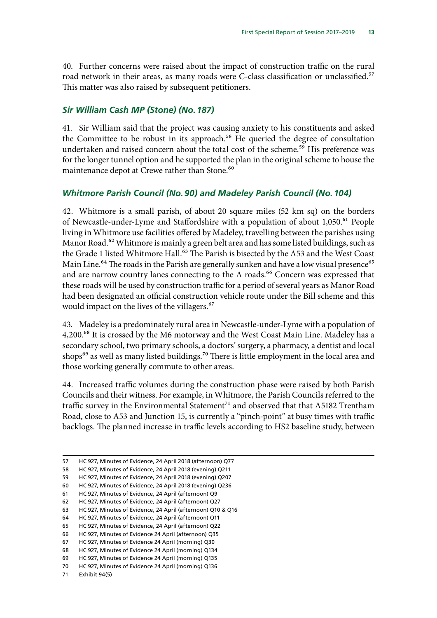<span id="page-14-0"></span>40. Further concerns were raised about the impact of construction traffic on the rural road network in their areas, as many roads were C-class classification or unclassified.<sup>57</sup> This matter was also raised by subsequent petitioners.

#### *Sir William Cash MP (Stone) (No.187)*

41. Sir William said that the project was causing anxiety to his constituents and asked the Committee to be robust in its approach.<sup>58</sup> He queried the degree of consultation undertaken and raised concern about the total cost of the scheme.<sup>59</sup> His preference was for the longer tunnel option and he supported the plan in the original scheme to house the maintenance depot at Crewe rather than Stone.<sup>60</sup>

#### *Whitmore Parish Council (No.90) and Madeley Parish Council (No.104)*

42. Whitmore is a small parish, of about 20 square miles (52 km sq) on the borders of Newcastle-under-Lyme and Staffordshire with a population of about 1,050.<sup>61</sup> People living in Whitmore use facilities offered by Madeley, travelling between the parishes using Manor Road.<sup>62</sup> Whitmore is mainly a green belt area and has some listed buildings, such as the Grade 1 listed Whitmore Hall.<sup>63</sup> The Parish is bisected by the A53 and the West Coast Main Line.<sup>64</sup> The roads in the Parish are generally sunken and have a low visual presence<sup>65</sup> and are narrow country lanes connecting to the A roads.<sup>66</sup> Concern was expressed that these roads will be used by construction traffic for a period of several years as Manor Road had been designated an official construction vehicle route under the Bill scheme and this would impact on the lives of the villagers.<sup>67</sup>

43. Madeley is a predominately rural area in Newcastle-under-Lyme with a population of 4,200.<sup>68</sup> It is crossed by the M6 motorway and the West Coast Main Line. Madeley has a secondary school, two primary schools, a doctors' surgery, a pharmacy, a dentist and local shops<sup>69</sup> as well as many listed buildings.<sup>70</sup> There is little employment in the local area and those working generally commute to other areas.

44. Increased traffic volumes during the construction phase were raised by both Parish Councils and their witness. For example, in Whitmore, the Parish Councils referred to the traffic survey in the Environmental Statement<sup>71</sup> and observed that that A5182 Trentham Road, close to A53 and Junction 15, is currently a "pinch-point" at busy times with traffic backlogs. The planned increase in traffic levels according to HS2 baseline study, between

71 Exhibit 94(5)

<sup>57</sup> HC 927, Minutes of Evidence, 24 April 2018 (afternoon) Q77

<sup>58</sup> HC 927, Minutes of Evidence, 24 April 2018 (evening) Q211

<sup>59</sup> HC 927, Minutes of Evidence, 24 April 2018 (evening) Q207

<sup>60</sup> HC 927, Minutes of Evidence, 24 April 2018 (evening) Q236

<sup>61</sup> HC 927, Minutes of Evidence, 24 April (afternoon) Q9

<sup>62</sup> HC 927, Minutes of Evidence, 24 April (afternoon) Q27

<sup>63</sup> HC 927, Minutes of Evidence, 24 April (afternoon) Q10 & Q16

<sup>64</sup> HC 927, Minutes of Evidence, 24 April (afternoon) Q11

<sup>65</sup> HC 927, Minutes of Evidence, 24 April (afternoon) Q22

<sup>66</sup> HC 927, Minutes of Evidence 24 April (afternoon) Q35

<sup>67</sup> HC 927, Minutes of Evidence 24 April (morning) Q30

<sup>68</sup> HC 927, Minutes of Evidence 24 April (morning) Q134

<sup>69</sup> HC 927, Minutes of Evidence 24 April (morning) Q135

<sup>70</sup> HC 927, Minutes of Evidence 24 April (morning) Q136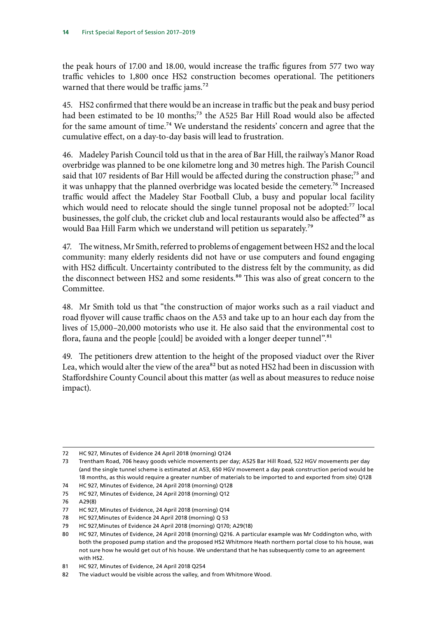the peak hours of 17.00 and 18.00, would increase the traffic figures from 577 two way traffic vehicles to 1,800 once HS2 construction becomes operational. The petitioners warned that there would be traffic jams.<sup>72</sup>

45. HS2 confirmed that there would be an increase in traffic but the peak and busy period had been estimated to be 10 months;<sup>73</sup> the A525 Bar Hill Road would also be affected for the same amount of time.<sup>74</sup> We understand the residents' concern and agree that the cumulative effect, on a day-to-day basis will lead to frustration.

46. Madeley Parish Council told us that in the area of Bar Hill, the railway's Manor Road overbridge was planned to be one kilometre long and 30 metres high. The Parish Council said that 107 residents of Bar Hill would be affected during the construction phase;<sup>75</sup> and it was unhappy that the planned overbridge was located beside the cemetery.<sup>76</sup> Increased traffic would affect the Madeley Star Football Club, a busy and popular local facility which would need to relocate should the single tunnel proposal not be adopted:<sup>77</sup> local businesses, the golf club, the cricket club and local restaurants would also be affected<sup>78</sup> as would Baa Hill Farm which we understand will petition us separately.79

47. The witness, Mr Smith, referred to problems of engagement between HS2 and the local community: many elderly residents did not have or use computers and found engaging with HS2 difficult. Uncertainty contributed to the distress felt by the community, as did the disconnect between HS2 and some residents.<sup>80</sup> This was also of great concern to the Committee.

48. Mr Smith told us that "the construction of major works such as a rail viaduct and road flyover will cause traffic chaos on the A53 and take up to an hour each day from the lives of 15,000–20,000 motorists who use it. He also said that the environmental cost to flora, fauna and the people [could] be avoided with a longer deeper tunnel".<sup>81</sup>

49. The petitioners drew attention to the height of the proposed viaduct over the River Lea, which would alter the view of the area<sup>82</sup> but as noted HS2 had been in discussion with Staffordshire County Council about this matter (as well as about measures to reduce noise impact).

<sup>72</sup> HC 927, Minutes of Evidence 24 April 2018 (morning) Q124

<sup>73</sup> Trentham Road, 706 heavy goods vehicle movements per day; A525 Bar Hill Road, 522 HGV movements per day (and the single tunnel scheme is estimated at A53, 650 HGV movement a day peak construction period would be 18 months, as this would require a greater number of materials to be imported to and exported from site) Q128

<sup>74</sup> HC 927, Minutes of Evidence, 24 April 2018 (morning) Q128

<sup>75</sup> HC 927, Minutes of Evidence, 24 April 2018 (morning) Q12

<sup>76</sup> A29(8)

<sup>77</sup> HC 927, Minutes of Evidence, 24 April 2018 (morning) Q14

<sup>78</sup> HC 927,Minutes of Evidence 24 April 2018 (morning) Q 53

<sup>79</sup> HC 927,Minutes of Evidence 24 April 2018 (morning) Q170; A29(18)

<sup>80</sup> HC 927, Minutes of Evidence, 24 April 2018 (morning) Q216. A particular example was Mr Coddington who, with both the proposed pump station and the proposed HS2 Whitmore Heath northern portal close to his house, was not sure how he would get out of his house. We understand that he has subsequently come to an agreement with HS2.

<sup>81</sup> HC 927, Minutes of Evidence, 24 April 2018 Q254

<sup>82</sup> The viaduct would be visible across the valley, and from Whitmore Wood.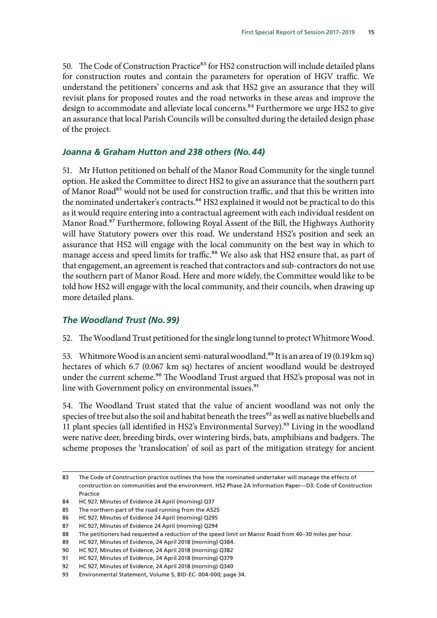<span id="page-16-0"></span>50. The Code of Construction Practice<sup>83</sup> for HS2 construction will include detailed plans for construction routes and contain the parameters for operation of HGV traffic. We understand the petitioners' concerns and ask that HS2 give an assurance that they will revisit plans for proposed routes and the road networks in these areas and improve the design to accommodate and alleviate local concerns.<sup>84</sup> Furthermore we urge HS2 to give an assurance that local Parish Councils will be consulted during the detailed design phase of the project.

#### *Joanna & Graham Hutton and 238 others (No.44)*

51. Mr Hutton petitioned on behalf of the Manor Road Community for the single tunnel option. He asked the Committee to direct HS2 to give an assurance that the southern part of Manor Road<sup>85</sup> would not be used for construction traffic, and that this be written into the nominated undertaker's contracts.<sup>86</sup> HS2 explained it would not be practical to do this as it would require entering into a contractual agreement with each individual resident on Manor Road.<sup>87</sup> Furthermore, following Royal Assent of the Bill, the Highways Authority will have Statutory powers over this road. We understand HS2's position and seek an assurance that HS2 will engage with the local community on the best way in which to manage access and speed limits for traffic.<sup>88</sup> We also ask that HS2 ensure that, as part of that engagement, an agreement is reached that contractors and sub-contractors do not use the southern part of Manor Road. Here and more widely, the Committee would like to be told how HS2 will engage with the local community, and their councils, when drawing up more detailed plans.

#### *The Woodland Trust (No.99)*

52. The Woodland Trust petitioned for the single long tunnel to protect Whitmore Wood.

53. Whitmore Wood is an ancient semi-natural woodland.<sup>89</sup> It is an area of 19 (0.19 km sq) hectares of which 6.7 (0.067 km sq) hectares of ancient woodland would be destroyed under the current scheme.<sup>90</sup> The Woodland Trust argued that HS2's proposal was not in line with Government policy on environmental issues.<sup>91</sup>

54. The Woodland Trust stated that the value of ancient woodland was not only the species of tree but also the soil and habitat beneath the trees<sup>92</sup> as well as native bluebells and 11 plant species (all identified in HS2's Environmental Survey).<sup>93</sup> Living in the woodland were native deer, breeding birds, over wintering birds, bats, amphibians and badgers. The scheme proposes the 'translocation' of soil as part of the mitigation strategy for ancient

<sup>83</sup> The Code of Construction practice outlines the how the nominated undertaker will manage the effects of construction on communities and the environment. HS2 Phase 2A Information Paper—D3: Code of Construction Practice

<sup>84</sup> HC 927, Minutes of Evidence 24 April (morning) Q37

<sup>85</sup> The northern part of the road running from the A525

<sup>86</sup> HC 927, Minutes of Evidence 24 April (morning) Q295

<sup>87</sup> HC 927, Minutes of Evidence 24 April (morning) Q294

<sup>88</sup> The petitioners had requested a reduction of the speed limit on Manor Road from 40–30 miles per hour.

<sup>89</sup> HC 927, Minutes of Evidence, 24 April 2018 (morning) Q384.

<sup>90</sup> HC 927, Minutes of Evidence, 24 April 2018 (morning) Q382

<sup>91</sup> HC 927, Minutes of Evidence, 24 April 2018 (morning) Q379

<sup>92</sup> HC 927, Minutes of Evidence, 24 April 2018 (morning) Q340

<sup>93</sup> Environmental Statement, Volume 5, BID-EC- 004-000; page 34.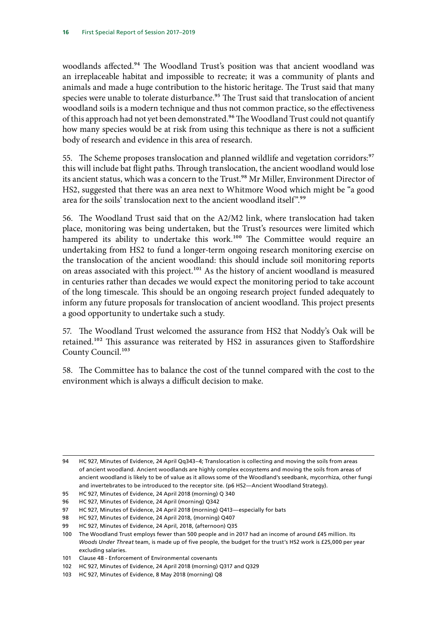woodlands affected.<sup>94</sup> The Woodland Trust's position was that ancient woodland was an irreplaceable habitat and impossible to recreate; it was a community of plants and animals and made a huge contribution to the historic heritage. The Trust said that many species were unable to tolerate disturbance.<sup>95</sup> The Trust said that translocation of ancient woodland soils is a modern technique and thus not common practice, so the effectiveness of this approach had not yet been demonstrated.<sup>96</sup> The Woodland Trust could not quantify how many species would be at risk from using this technique as there is not a sufficient body of research and evidence in this area of research.

55. The Scheme proposes translocation and planned wildlife and vegetation corridors:<sup>97</sup> this will include bat flight paths. Through translocation, the ancient woodland would lose its ancient status, which was a concern to the Trust.<sup>98</sup> Mr Miller, Environment Director of HS2, suggested that there was an area next to Whitmore Wood which might be "a good area for the soils' translocation next to the ancient woodland itself".<sup>99</sup>

56. The Woodland Trust said that on the A2/M2 link, where translocation had taken place, monitoring was being undertaken, but the Trust's resources were limited which hampered its ability to undertake this work.<sup>100</sup> The Committee would require an undertaking from HS2 to fund a longer-term ongoing research monitoring exercise on the translocation of the ancient woodland: this should include soil monitoring reports on areas associated with this project.<sup>101</sup> As the history of ancient woodland is measured in centuries rather than decades we would expect the monitoring period to take account of the long timescale. This should be an ongoing research project funded adequately to inform any future proposals for translocation of ancient woodland. This project presents a good opportunity to undertake such a study.

57. The Woodland Trust welcomed the assurance from HS2 that Noddy's Oak will be retained.<sup>102</sup> This assurance was reiterated by HS2 in assurances given to Staffordshire County Council.<sup>103</sup>

58. The Committee has to balance the cost of the tunnel compared with the cost to the environment which is always a difficult decision to make.

<sup>94</sup> HC 927, Minutes of Evidence, 24 April Qq343–4; Translocation is collecting and moving the soils from areas of ancient woodland. Ancient woodlands are highly complex ecosystems and moving the soils from areas of ancient woodland is likely to be of value as it allows some of the Woodland's seedbank, mycorrhiza, other fungi and invertebrates to be introduced to the receptor site. (p6 HS2—Ancient Woodland Strategy).

<sup>95</sup> HC 927, Minutes of Evidence, 24 April 2018 (morning) Q 340

<sup>96</sup> HC 927, Minutes of Evidence, 24 April (morning) Q342

<sup>97</sup> HC 927, Minutes of Evidence, 24 April 2018 (morning) Q413—especially for bats

<sup>98</sup> HC 927, Minutes of Evidence, 24 April 2018, (morning) Q407

<sup>99</sup> HC 927, Minutes of Evidence, 24 April, 2018, (afternoon) Q35

<sup>100</sup> The Woodland Trust employs fewer than 500 people and in 2017 had an income of around £45 million. Its *Woods Under Threat* team, is made up of five people, the budget for the trust's HS2 work is £25,000 per year excluding salaries.

<sup>101</sup> Clause 48 - Enforcement of Environmental covenants

<sup>102</sup> HC 927, Minutes of Evidence, 24 April 2018 (morning) Q317 and Q329

<sup>103</sup> HC 927, Minutes of Evidence, 8 May 2018 (morning) Q8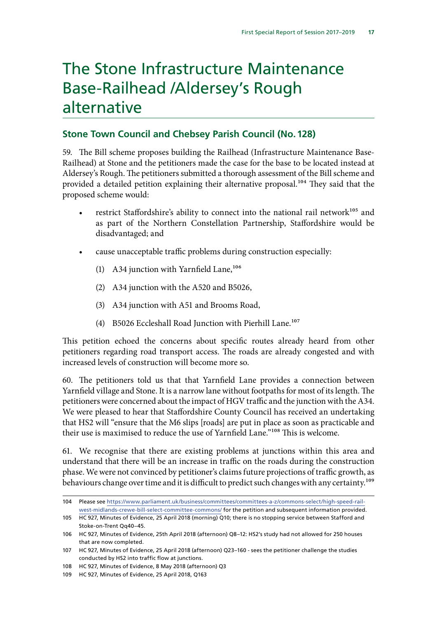### <span id="page-18-0"></span>The Stone Infrastructure Maintenance Base-Railhead /Aldersey's Rough alternative

#### **Stone Town Council and Chebsey Parish Council (No.128)**

59. The Bill scheme proposes building the Railhead (Infrastructure Maintenance Base-Railhead) at Stone and the petitioners made the case for the base to be located instead at Aldersey's Rough. The petitioners submitted a thorough assessment of the Bill scheme and provided a detailed petition explaining their alternative proposal.<sup>104</sup> They said that the proposed scheme would:

- restrict Staffordshire's ability to connect into the national rail network $105$  and as part of the Northern Constellation Partnership, Staffordshire would be disadvantaged; and
- cause unacceptable traffic problems during construction especially:
	- (1) A34 junction with Yarnfield Lane,  $106$
	- (2) A34 junction with the A520 and B5026,
	- (3) A34 junction with A51 and Brooms Road,
	- (4) B5026 Eccleshall Road Junction with Pierhill Lane.<sup>107</sup>

This petition echoed the concerns about specific routes already heard from other petitioners regarding road transport access. The roads are already congested and with increased levels of construction will become more so.

60. The petitioners told us that that Yarnfield Lane provides a connection between Yarnfield village and Stone. It is a narrow lane without footpaths for most of its length. The petitioners were concerned about the impact of HGV traffic and the junction with the A34. We were pleased to hear that Staffordshire County Council has received an undertaking that HS2 will "ensure that the M6 slips [roads] are put in place as soon as practicable and their use is maximised to reduce the use of Yarnfield Lane."108 This is welcome.

61. We recognise that there are existing problems at junctions within this area and understand that there will be an increase in traffic on the roads during the construction phase. We were not convinced by petitioner's claims future projections of traffic growth, as behaviours change over time and it is difficult to predict such changes with any certainty.<sup>109</sup>

<sup>104</sup> Please see [https://www.parliament.uk/business/committees/committees-a-z/commons-select/high-speed-rail](https://www.parliament.uk/business/committees/committees-a-z/commons-select/high-speed-rail-west-midlands-crewe-bill-select-committee-commons/)[west-midlands-crewe-bill-select-committee-commons/](https://www.parliament.uk/business/committees/committees-a-z/commons-select/high-speed-rail-west-midlands-crewe-bill-select-committee-commons/) for the petition and subsequent information provided.

<sup>105</sup> HC 927, Minutes of Evidence, 25 April 2018 (morning) Q10; there is no stopping service between Stafford and Stoke-on-Trent Qq40–45.

<sup>106</sup> HC 927, Minutes of Evidence, 25th April 2018 (afternoon) Q8–12: HS2's study had not allowed for 250 houses that are now completed.

<sup>107</sup> HC 927, Minutes of Evidence, 25 April 2018 (afternoon) Q23–160 - sees the petitioner challenge the studies conducted by HS2 into traffic flow at junctions.

<sup>108</sup> HC 927, Minutes of Evidence, 8 May 2018 (afternoon) Q3

<sup>109</sup> HC 927, Minutes of Evidence, 25 April 2018, Q163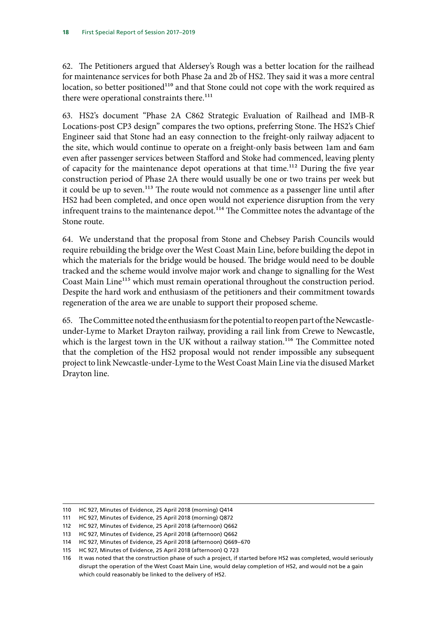62. The Petitioners argued that Aldersey's Rough was a better location for the railhead for maintenance services for both Phase 2a and 2b of HS2. They said it was a more central location, so better positioned<sup>110</sup> and that Stone could not cope with the work required as there were operational constraints there.<sup>111</sup>

63. HS2's document "Phase 2A C862 Strategic Evaluation of Railhead and IMB-R Locations-post CP3 design" compares the two options, preferring Stone. The HS2's Chief Engineer said that Stone had an easy connection to the freight-only railway adjacent to the site, which would continue to operate on a freight-only basis between 1am and 6am even after passenger services between Stafford and Stoke had commenced, leaving plenty of capacity for the maintenance depot operations at that time.<sup>112</sup> During the five year construction period of Phase 2A there would usually be one or two trains per week but it could be up to seven.<sup>113</sup> The route would not commence as a passenger line until after HS2 had been completed, and once open would not experience disruption from the very infrequent trains to the maintenance depot.<sup>114</sup> The Committee notes the advantage of the Stone route.

64. We understand that the proposal from Stone and Chebsey Parish Councils would require rebuilding the bridge over the West Coast Main Line, before building the depot in which the materials for the bridge would be housed. The bridge would need to be double tracked and the scheme would involve major work and change to signalling for the West Coast Main Line<sup>115</sup> which must remain operational throughout the construction period. Despite the hard work and enthusiasm of the petitioners and their commitment towards regeneration of the area we are unable to support their proposed scheme.

65. The Committee noted the enthusiasm for the potential to reopen part of the Newcastleunder-Lyme to Market Drayton railway, providing a rail link from Crewe to Newcastle, which is the largest town in the UK without a railway station.<sup>116</sup> The Committee noted that the completion of the HS2 proposal would not render impossible any subsequent project to link Newcastle-under-Lyme to the West Coast Main Line via the disused Market Drayton line.

<sup>110</sup> HC 927, Minutes of Evidence, 25 April 2018 (morning) Q414

<sup>111</sup> HC 927, Minutes of Evidence, 25 April 2018 (morning) Q872

<sup>112</sup> HC 927, Minutes of Evidence, 25 April 2018 (afternoon) Q662

<sup>113</sup> HC 927, Minutes of Evidence, 25 April 2018 (afternoon) Q662

<sup>114</sup> HC 927, Minutes of Evidence, 25 April 2018 (afternoon) Q669–670

<sup>115</sup> HC 927, Minutes of Evidence, 25 April 2018 (afternoon) Q 723

<sup>116</sup> It was noted that the construction phase of such a project, if started before HS2 was completed, would seriously disrupt the operation of the West Coast Main Line, would delay completion of HS2, and would not be a gain which could reasonably be linked to the delivery of HS2.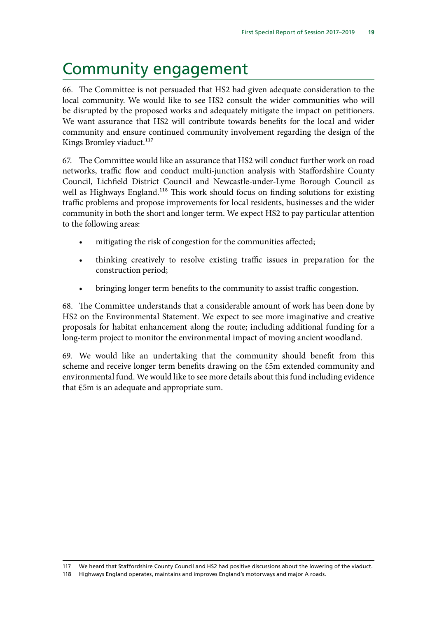### <span id="page-20-0"></span>Community engagement

66. The Committee is not persuaded that HS2 had given adequate consideration to the local community. We would like to see HS2 consult the wider communities who will be disrupted by the proposed works and adequately mitigate the impact on petitioners. We want assurance that HS2 will contribute towards benefits for the local and wider community and ensure continued community involvement regarding the design of the Kings Bromley viaduct.<sup>117</sup>

67. The Committee would like an assurance that HS2 will conduct further work on road networks, traffic flow and conduct multi-junction analysis with Staffordshire County Council, Lichfield District Council and Newcastle-under-Lyme Borough Council as well as Highways England.<sup>118</sup> This work should focus on finding solutions for existing traffic problems and propose improvements for local residents, businesses and the wider community in both the short and longer term. We expect HS2 to pay particular attention to the following areas:

- mitigating the risk of congestion for the communities affected;
- thinking creatively to resolve existing traffic issues in preparation for the construction period;
- bringing longer term benefits to the community to assist traffic congestion.

68. The Committee understands that a considerable amount of work has been done by HS2 on the Environmental Statement. We expect to see more imaginative and creative proposals for habitat enhancement along the route; including additional funding for a long-term project to monitor the environmental impact of moving ancient woodland.

69. We would like an undertaking that the community should benefit from this scheme and receive longer term benefits drawing on the £5m extended community and environmental fund. We would like to see more details about this fund including evidence that £5m is an adequate and appropriate sum.

118 Highways England operates, maintains and improves England's motorways and major A roads.

<sup>117</sup> We heard that Staffordshire County Council and HS2 had positive discussions about the lowering of the viaduct.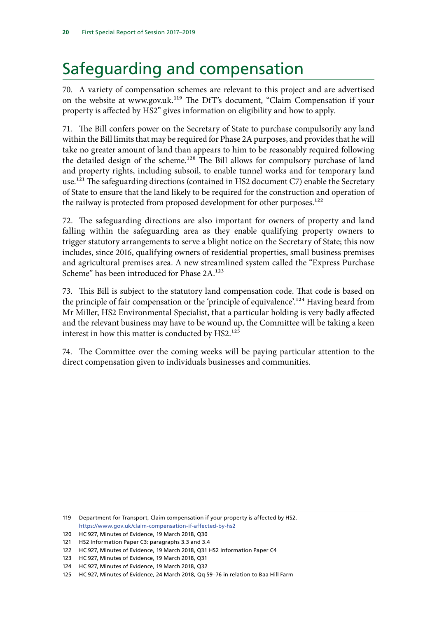# <span id="page-21-0"></span>Safeguarding and compensation

70. A variety of compensation schemes are relevant to this project and are advertised on the website at www.gov.uk.119 The DfT's document, "Claim Compensation if your property is affected by HS2" gives information on eligibility and how to apply.

71. The Bill confers power on the Secretary of State to purchase compulsorily any land within the Bill limits that may be required for Phase 2A purposes, and provides that he will take no greater amount of land than appears to him to be reasonably required following the detailed design of the scheme.<sup>120</sup> The Bill allows for compulsory purchase of land and property rights, including subsoil, to enable tunnel works and for temporary land use.<sup>121</sup> The safeguarding directions (contained in HS2 document C7) enable the Secretary of State to ensure that the land likely to be required for the construction and operation of the railway is protected from proposed development for other purposes.<sup>122</sup>

72. The safeguarding directions are also important for owners of property and land falling within the safeguarding area as they enable qualifying property owners to trigger statutory arrangements to serve a blight notice on the Secretary of State; this now includes, since 2016, qualifying owners of residential properties, small business premises and agricultural premises area. A new streamlined system called the "Express Purchase Scheme" has been introduced for Phase 2A.<sup>123</sup>

73. This Bill is subject to the statutory land compensation code. That code is based on the principle of fair compensation or the 'principle of equivalence'.<sup>124</sup> Having heard from Mr Miller, HS2 Environmental Specialist, that a particular holding is very badly affected and the relevant business may have to be wound up, the Committee will be taking a keen interest in how this matter is conducted by HS2.<sup>125</sup>

74. The Committee over the coming weeks will be paying particular attention to the direct compensation given to individuals businesses and communities.

119 Department for Transport, Claim compensation if your property is affected by HS2. <https://www.gov.uk/claim-compensation-if-affected-by-hs2>

<sup>120</sup> HC 927, Minutes of Evidence, 19 March 2018, Q30

<sup>121</sup> HS2 Information Paper C3: paragraphs 3.3 and 3.4

<sup>122</sup> HC 927, Minutes of Evidence, 19 March 2018, Q31 HS2 Information Paper C4

<sup>123</sup> HC 927, Minutes of Evidence, 19 March 2018, Q31

<sup>124</sup> HC 927, Minutes of Evidence, 19 March 2018, Q32

<sup>125</sup> HC 927, Minutes of Evidence, 24 March 2018, Qq 59–76 in relation to Baa Hill Farm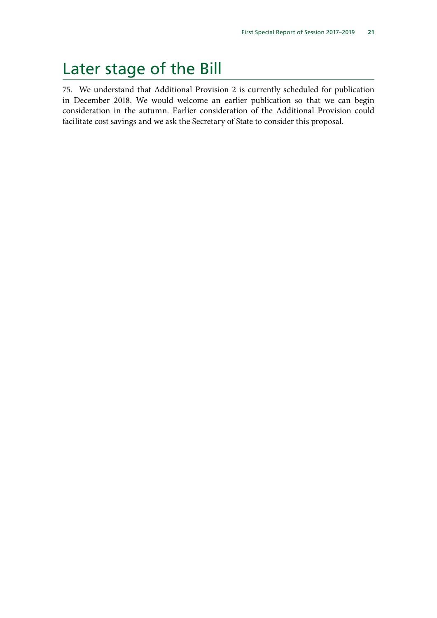### <span id="page-22-0"></span>Later stage of the Bill

75. We understand that Additional Provision 2 is currently scheduled for publication in December 2018. We would welcome an earlier publication so that we can begin consideration in the autumn. Earlier consideration of the Additional Provision could facilitate cost savings and we ask the Secretary of State to consider this proposal.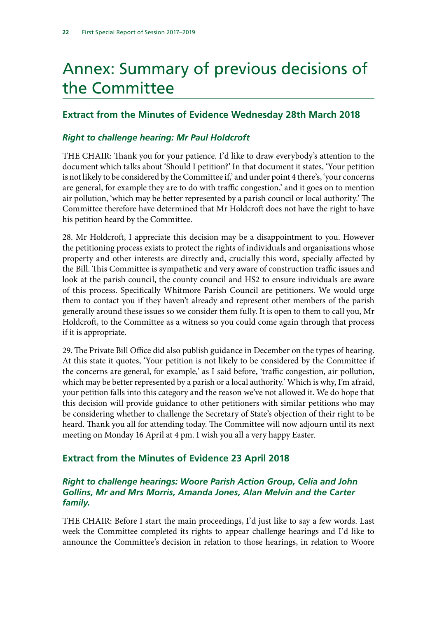# <span id="page-23-0"></span>Annex: Summary of previous decisions of the Committee

#### **Extract from the Minutes of Evidence Wednesday 28th March 2018**

#### *Right to challenge hearing: Mr Paul Holdcroft*

THE CHAIR: Thank you for your patience. I'd like to draw everybody's attention to the document which talks about 'Should I petition?' In that document it states, 'Your petition is not likely to be considered by the Committee if,' and under point 4 there's, 'your concerns are general, for example they are to do with traffic congestion,' and it goes on to mention air pollution, 'which may be better represented by a parish council or local authority.' The Committee therefore have determined that Mr Holdcroft does not have the right to have his petition heard by the Committee.

28. Mr Holdcroft, I appreciate this decision may be a disappointment to you. However the petitioning process exists to protect the rights of individuals and organisations whose property and other interests are directly and, crucially this word, specially affected by the Bill. This Committee is sympathetic and very aware of construction traffic issues and look at the parish council, the county council and HS2 to ensure individuals are aware of this process. Specifically Whitmore Parish Council are petitioners. We would urge them to contact you if they haven't already and represent other members of the parish generally around these issues so we consider them fully. It is open to them to call you, Mr Holdcroft, to the Committee as a witness so you could come again through that process if it is appropriate.

29. The Private Bill Office did also publish guidance in December on the types of hearing. At this state it quotes, 'Your petition is not likely to be considered by the Committee if the concerns are general, for example,' as I said before, 'traffic congestion, air pollution, which may be better represented by a parish or a local authority.' Which is why, I'm afraid, your petition falls into this category and the reason we've not allowed it. We do hope that this decision will provide guidance to other petitioners with similar petitions who may be considering whether to challenge the Secretary of State's objection of their right to be heard. Thank you all for attending today. The Committee will now adjourn until its next meeting on Monday 16 April at 4 pm. I wish you all a very happy Easter.

#### **Extract from the Minutes of Evidence 23 April 2018**

#### *Right to challenge hearings: Woore Parish Action Group, Celia and John Gollins, Mr and Mrs Morris, Amanda Jones, Alan Melvin and the Carter family.*

THE CHAIR: Before I start the main proceedings, I'd just like to say a few words. Last week the Committee completed its rights to appear challenge hearings and I'd like to announce the Committee's decision in relation to those hearings, in relation to Woore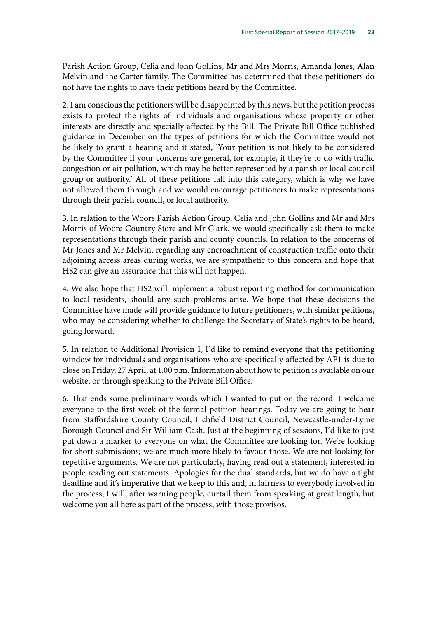Parish Action Group, Celia and John Gollins, Mr and Mrs Morris, Amanda Jones, Alan Melvin and the Carter family. The Committee has determined that these petitioners do not have the rights to have their petitions heard by the Committee.

2. I am conscious the petitioners will be disappointed by this news, but the petition process exists to protect the rights of individuals and organisations whose property or other interests are directly and specially affected by the Bill. The Private Bill Office published guidance in December on the types of petitions for which the Committee would not be likely to grant a hearing and it stated, 'Your petition is not likely to be considered by the Committee if your concerns are general, for example, if they're to do with traffic congestion or air pollution, which may be better represented by a parish or local council group or authority.' All of these petitions fall into this category, which is why we have not allowed them through and we would encourage petitioners to make representations through their parish council, or local authority.

3. In relation to the Woore Parish Action Group, Celia and John Gollins and Mr and Mrs Morris of Woore Country Store and Mr Clark, we would specifically ask them to make representations through their parish and county councils. In relation to the concerns of Mr Jones and Mr Melvin, regarding any encroachment of construction traffic onto their adjoining access areas during works, we are sympathetic to this concern and hope that HS2 can give an assurance that this will not happen.

4. We also hope that HS2 will implement a robust reporting method for communication to local residents, should any such problems arise. We hope that these decisions the Committee have made will provide guidance to future petitioners, with similar petitions, who may be considering whether to challenge the Secretary of State's rights to be heard, going forward.

5. In relation to Additional Provision 1, I'd like to remind everyone that the petitioning window for individuals and organisations who are specifically affected by AP1 is due to close on Friday, 27 April, at 1.00 p.m. Information about how to petition is available on our website, or through speaking to the Private Bill Office.

6. That ends some preliminary words which I wanted to put on the record. I welcome everyone to the first week of the formal petition hearings. Today we are going to hear from Staffordshire County Council, Lichfield District Council, Newcastle-under-Lyme Borough Council and Sir William Cash. Just at the beginning of sessions, I'd like to just put down a marker to everyone on what the Committee are looking for. We're looking for short submissions; we are much more likely to favour those. We are not looking for repetitive arguments. We are not particularly, having read out a statement, interested in people reading out statements. Apologies for the dual standards, but we do have a tight deadline and it's imperative that we keep to this and, in fairness to everybody involved in the process, I will, after warning people, curtail them from speaking at great length, but welcome you all here as part of the process, with those provisos.